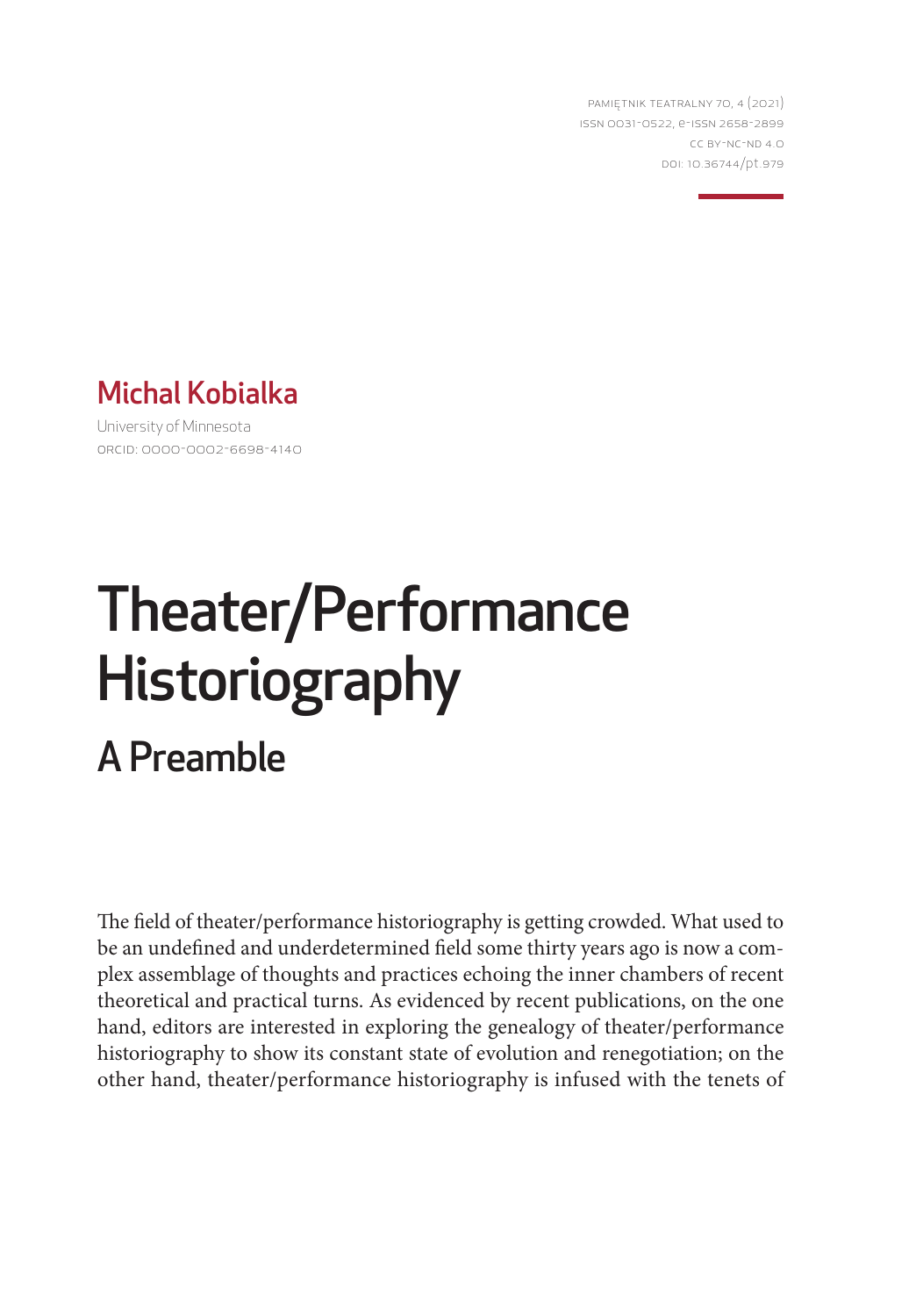PAMIĘTNIK TEATRALNY 70, 4 (2021) ISSN 0031-0522, e-ISSN 2658-2899 CC BY-NC-ND 4.0 DOI: 10.36744/pt.979



University of Minnesota ORCID: 0000-0002-6698-4140

# Theater/Performance Historiography A Preamble

The field of theater/performance historiography is getting crowded. What used to be an undefined and underdetermined field some thirty years ago is now a complex assemblage of thoughts and practices echoing the inner chambers of recent theoretical and practical turns. As evidenced by recent publications, on the one hand, editors are interested in exploring the genealogy of theater/performance historiography to show its constant state of evolution and renegotiation; on the other hand, theater/performance historiography is infused with the tenets of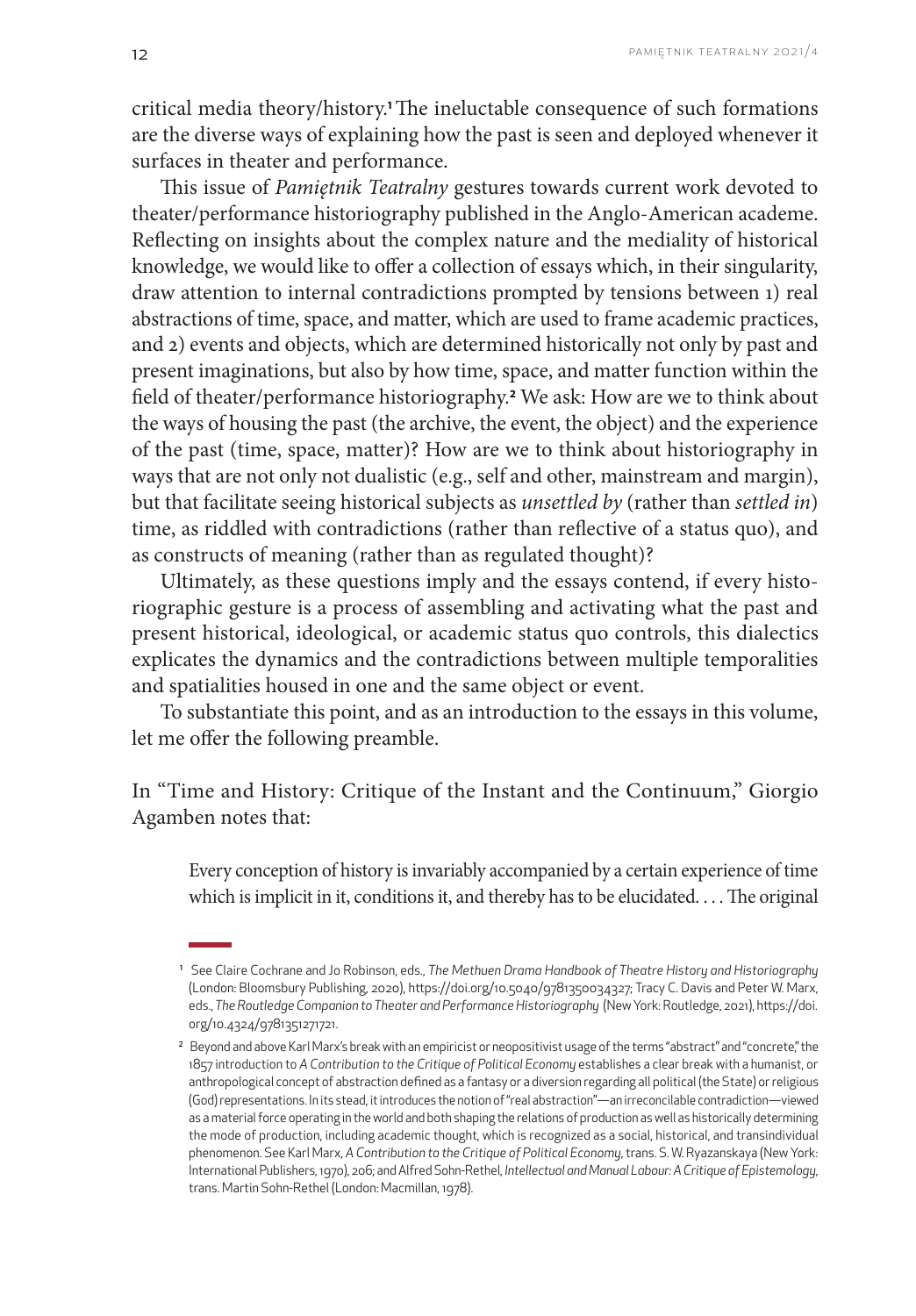critical media theory/history.**1**The ineluctable consequence of such formations are the diverse ways of explaining how the past is seen and deployed whenever it surfaces in theater and performance.

This issue of *Pamiętnik Teatralny* gestures towards current work devoted to theater/performance historiography published in the Anglo-American academe. Reflecting on insights about the complex nature and the mediality of historical knowledge, we would like to offer a collection of essays which, in their singularity, draw attention to internal contradictions prompted by tensions between 1) real abstractions of time, space, and matter, which are used to frame academic practices, and 2) events and objects, which are determined historically not only by past and present imaginations, but also by how time, space, and matter function within the field of theater/performance historiography.**<sup>2</sup>** We ask: How are we to think about the ways of housing the past (the archive, the event, the object) and the experience of the past (time, space, matter)? How are we to think about historiography in ways that are not only not dualistic (e.g., self and other, mainstream and margin), but that facilitate seeing historical subjects as *unsettled by* (rather than *settled in*) time, as riddled with contradictions (rather than reflective of a status quo), and as constructs of meaning (rather than as regulated thought)?

Ultimately, as these questions imply and the essays contend, if every historiographic gesture is a process of assembling and activating what the past and present historical, ideological, or academic status quo controls, this dialectics explicates the dynamics and the contradictions between multiple temporalities and spatialities housed in one and the same object or event.

To substantiate this point, and as an introduction to the essays in this volume, let me offer the following preamble.

In "Time and History: Critique of the Instant and the Continuum," Giorgio Agamben notes that:

Every conception of history is invariably accompanied by a certain experience of time which is implicit in it, conditions it, and thereby has to be elucidated. . . . The original

<sup>1</sup> See Claire Cochrane and Jo Robinson, eds., *The Methuen Drama Handbook of Theatre History and Historiography*  (London: Bloomsbury Publishing, 2020), [https://doi.org/10.5040/9781350034327](http://dx.doi.org/10.5040/9781350034327); Tracy C. Davis and Peter W. Marx, eds., *The Routledge Companion to Theater and Performance Historiography* (New York: Routledge, 2021), [https://doi.](https://doi.org/10.4324/9781351271721) [org/10.4324/9781351271721](https://doi.org/10.4324/9781351271721).

<sup>&</sup>lt;sup>2</sup> Beyond and above Karl Marx's break with an empiricist or neopositivist usage of the terms "abstract" and "concrete", the 1857 introduction to *A Contribution to the Critique of Political Economy* establishes a clear break with a humanist, or anthropological concept of abstraction defined as a fantasy or a diversion regarding all political (the State) or religious (God) representations. In its stead, it introduces the notion of "real abstraction"—an irreconcilable contradiction—viewed as a material force operating in the world and both shaping the relations of production as well as historically determining the mode of production, including academic thought, which is recognized as a social, historical, and transindividual phenomenon. See Karl Marx, *A Contribution to the Critique of Political Economy*, trans. S. W. Ryazanskaya (New York: International Publishers, 1970), 206; and Alfred Sohn-Rethel, *Intellectual and Manual Labour: A Critique of Epistemology*, trans. Martin Sohn-Rethel (London: Macmillan, 1978).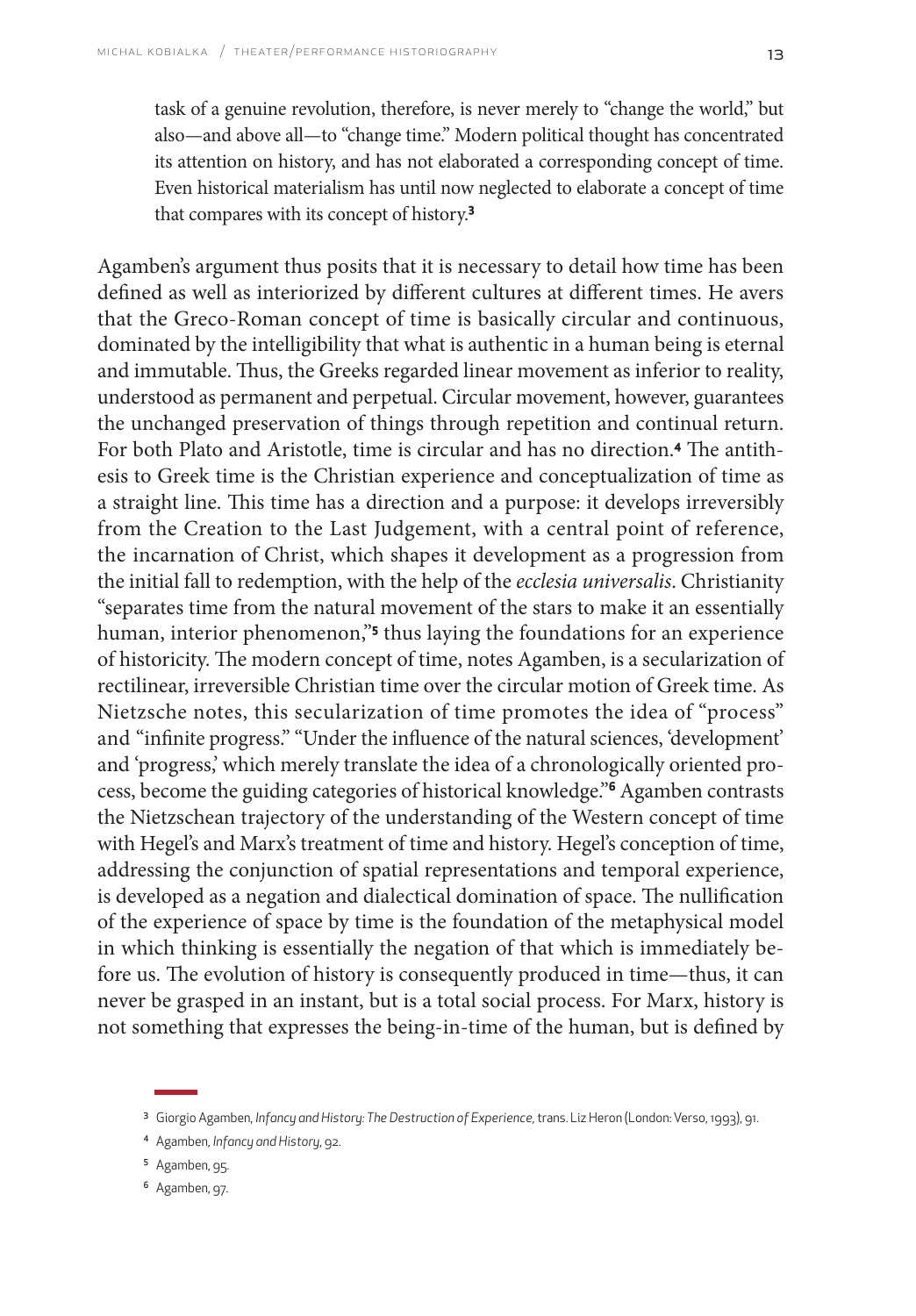task of a genuine revolution, therefore, is never merely to "change the world," but also—and above all—to "change time." Modern political thought has concentrated its attention on history, and has not elaborated a corresponding concept of time. Even historical materialism has until now neglected to elaborate a concept of time that compares with its concept of history.**<sup>3</sup>**

Agamben's argument thus posits that it is necessary to detail how time has been defined as well as interiorized by different cultures at different times. He avers that the Greco-Roman concept of time is basically circular and continuous, dominated by the intelligibility that what is authentic in a human being is eternal and immutable. Thus, the Greeks regarded linear movement as inferior to reality, understood as permanent and perpetual. Circular movement, however, guarantees the unchanged preservation of things through repetition and continual return. For both Plato and Aristotle, time is circular and has no direction.**4** The antithesis to Greek time is the Christian experience and conceptualization of time as a straight line. This time has a direction and a purpose: it develops irreversibly from the Creation to the Last Judgement, with a central point of reference, the incarnation of Christ, which shapes it development as a progression from the initial fall to redemption, with the help of the *ecclesia universalis*. Christianity "separates time from the natural movement of the stars to make it an essentially human, interior phenomenon,"**<sup>5</sup>** thus laying the foundations for an experience of historicity. The modern concept of time, notes Agamben, is a secularization of rectilinear, irreversible Christian time over the circular motion of Greek time. As Nietzsche notes, this secularization of time promotes the idea of "process" and "infinite progress." "Under the influence of the natural sciences, 'development' and 'progress,' which merely translate the idea of a chronologically oriented process, become the guiding categories of historical knowledge."**6** Agamben contrasts the Nietzschean trajectory of the understanding of the Western concept of time with Hegel's and Marx's treatment of time and history. Hegel's conception of time, addressing the conjunction of spatial representations and temporal experience, is developed as a negation and dialectical domination of space. The nullification of the experience of space by time is the foundation of the metaphysical model in which thinking is essentially the negation of that which is immediately before us. The evolution of history is consequently produced in time—thus, it can never be grasped in an instant, but is a total social process. For Marx, history is not something that expresses the being-in-time of the human, but is defined by

<sup>3</sup> Giorgio Agamben, *Infancy and History: The Destruction of Experience*, trans. Liz Heron (London: Verso, 1993), 91.

<sup>4</sup> Agamben, *Infancy and History*, 92.

<sup>5</sup> Agamben, 95.

<sup>6</sup> Agamben, 97.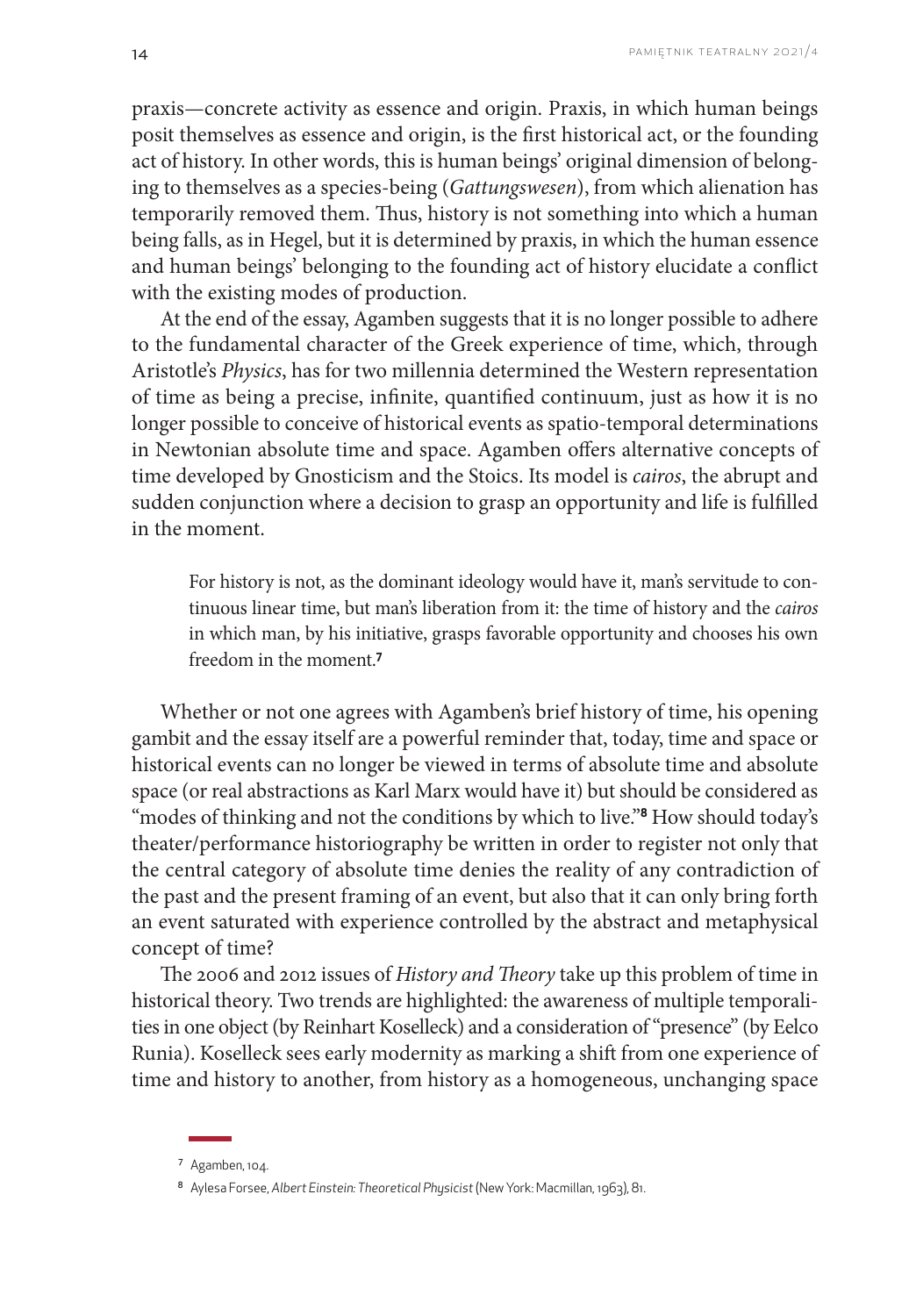praxis—concrete activity as essence and origin. Praxis, in which human beings posit themselves as essence and origin, is the first historical act, or the founding act of history. In other words, this is human beings' original dimension of belonging to themselves as a species-being (*Gattungswesen*), from which alienation has temporarily removed them. Thus, history is not something into which a human being falls, as in Hegel, but it is determined by praxis, in which the human essence and human beings' belonging to the founding act of history elucidate a conflict with the existing modes of production.

At the end of the essay, Agamben suggests that it is no longer possible to adhere to the fundamental character of the Greek experience of time, which, through Aristotle's *Physics*, has for two millennia determined the Western representation of time as being a precise, infinite, quantified continuum, just as how it is no longer possible to conceive of historical events as spatio-temporal determinations in Newtonian absolute time and space. Agamben offers alternative concepts of time developed by Gnosticism and the Stoics. Its model is *cairos*, the abrupt and sudden conjunction where a decision to grasp an opportunity and life is fulfilled in the moment.

For history is not, as the dominant ideology would have it, man's servitude to continuous linear time, but man's liberation from it: the time of history and the *cairos* in which man, by his initiative, grasps favorable opportunity and chooses his own freedom in the moment.**<sup>7</sup>**

Whether or not one agrees with Agamben's brief history of time, his opening gambit and the essay itself are a powerful reminder that, today, time and space or historical events can no longer be viewed in terms of absolute time and absolute space (or real abstractions as Karl Marx would have it) but should be considered as "modes of thinking and not the conditions by which to live."**8** How should today's theater/performance historiography be written in order to register not only that the central category of absolute time denies the reality of any contradiction of the past and the present framing of an event, but also that it can only bring forth an event saturated with experience controlled by the abstract and metaphysical concept of time?

The 2006 and 2012 issues of *History and Theory* take up this problem of time in historical theory. Two trends are highlighted: the awareness of multiple temporalities in one object (by Reinhart Koselleck) and a consideration of "presence" (by Eelco Runia). Koselleck sees early modernity as marking a shift from one experience of time and history to another, from history as a homogeneous, unchanging space

<sup>7</sup> Agamben, 104.

<sup>8</sup> Aylesa Forsee, *Albert Einstein: Theoretical Physicist* (New York: Macmillan, 1963), 81.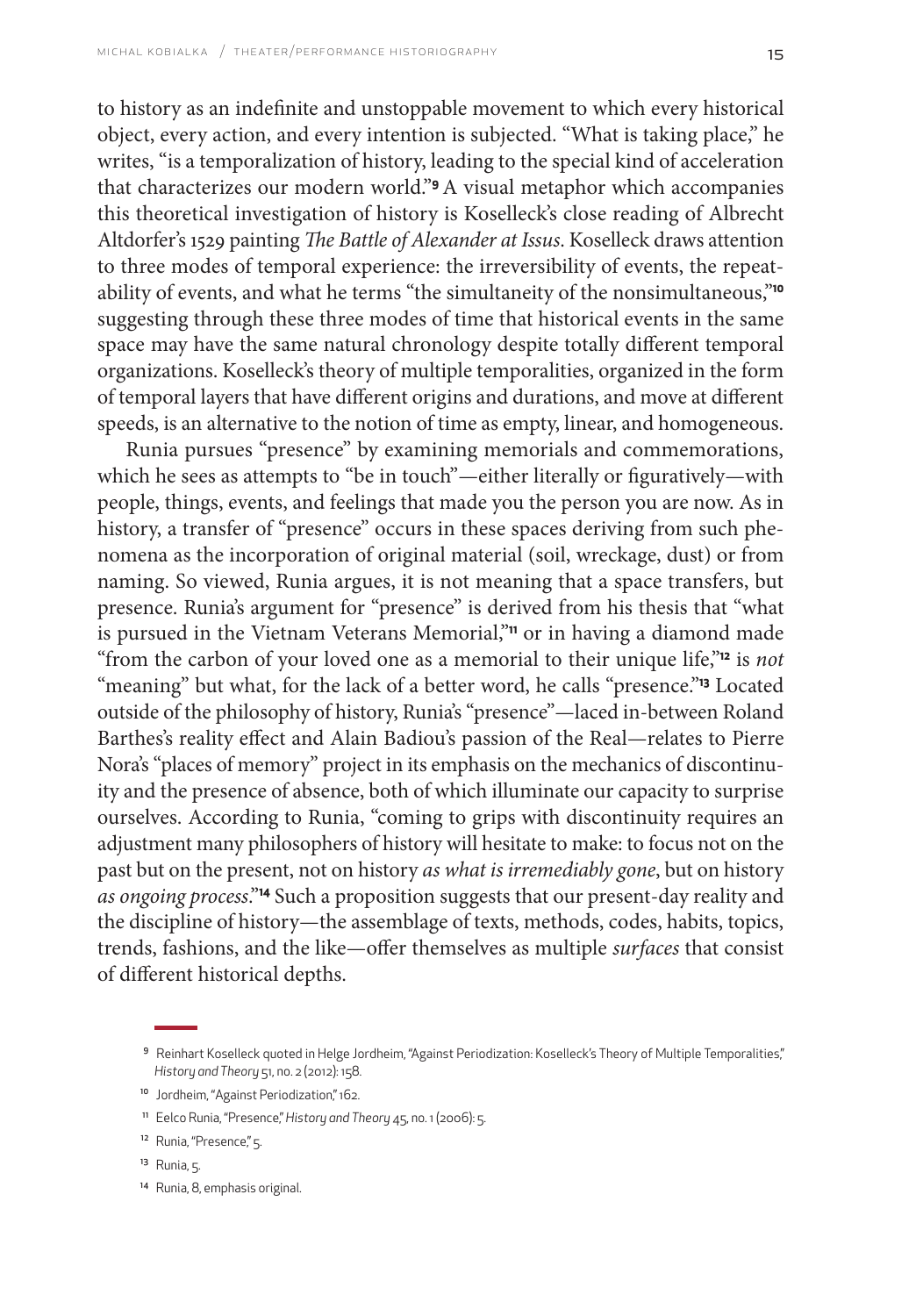to history as an indefinite and unstoppable movement to which every historical object, every action, and every intention is subjected. "What is taking place," he writes, "is a temporalization of history, leading to the special kind of acceleration that characterizes our modern world."**9**A visual metaphor which accompanies this theoretical investigation of history is Koselleck's close reading of Albrecht Altdorfer's 1529 painting *The Battle of Alexander at Issus*. Koselleck draws attention to three modes of temporal experience: the irreversibility of events, the repeatability of events, and what he terms "the simultaneity of the nonsimultaneous,"**<sup>10</sup>** suggesting through these three modes of time that historical events in the same space may have the same natural chronology despite totally different temporal organizations. Koselleck's theory of multiple temporalities, organized in the form of temporal layers that have different origins and durations, and move at different speeds, is an alternative to the notion of time as empty, linear, and homogeneous.

Runia pursues "presence" by examining memorials and commemorations, which he sees as attempts to "be in touch"—either literally or figuratively—with people, things, events, and feelings that made you the person you are now. As in history, a transfer of "presence" occurs in these spaces deriving from such phenomena as the incorporation of original material (soil, wreckage, dust) or from naming. So viewed, Runia argues, it is not meaning that a space transfers, but presence. Runia's argument for "presence" is derived from his thesis that "what is pursued in the Vietnam Veterans Memorial,"**11** or in having a diamond made "from the carbon of your loved one as a memorial to their unique life,"**12** is *not* "meaning" but what, for the lack of a better word, he calls "presence."**13** Located outside of the philosophy of history, Runia's "presence"—laced in-between Roland Barthes's reality effect and Alain Badiou's passion of the Real—relates to Pierre Nora's "places of memory" project in its emphasis on the mechanics of discontinuity and the presence of absence, both of which illuminate our capacity to surprise ourselves. According to Runia, "coming to grips with discontinuity requires an adjustment many philosophers of history will hesitate to make: to focus not on the past but on the present, not on history *as what is irremediably gone*, but on history *as ongoing process*."**14** Such a proposition suggests that our present-day reality and the discipline of history—the assemblage of texts, methods, codes, habits, topics, trends, fashions, and the like—offer themselves as multiple *surfaces* that consist of different historical depths.

<sup>14</sup> Runia, 8, emphasis original.

<sup>9</sup> Reinhart Koselleck quoted in Helge Jordheim, "Against Periodization: Koselleck's Theory of Multiple Temporalities," *History and Theory* 51, no. 2 (2012): 158.

<sup>&</sup>lt;sup>10</sup> Jordheim, "Against Periodization," 162.

<sup>11</sup> Eelco Runia, "Presence," *History and Theory* 45, no. 1 (2006): 5.

<sup>12</sup> Runia, "Presence," 5.

<sup>13</sup> Runia, 5.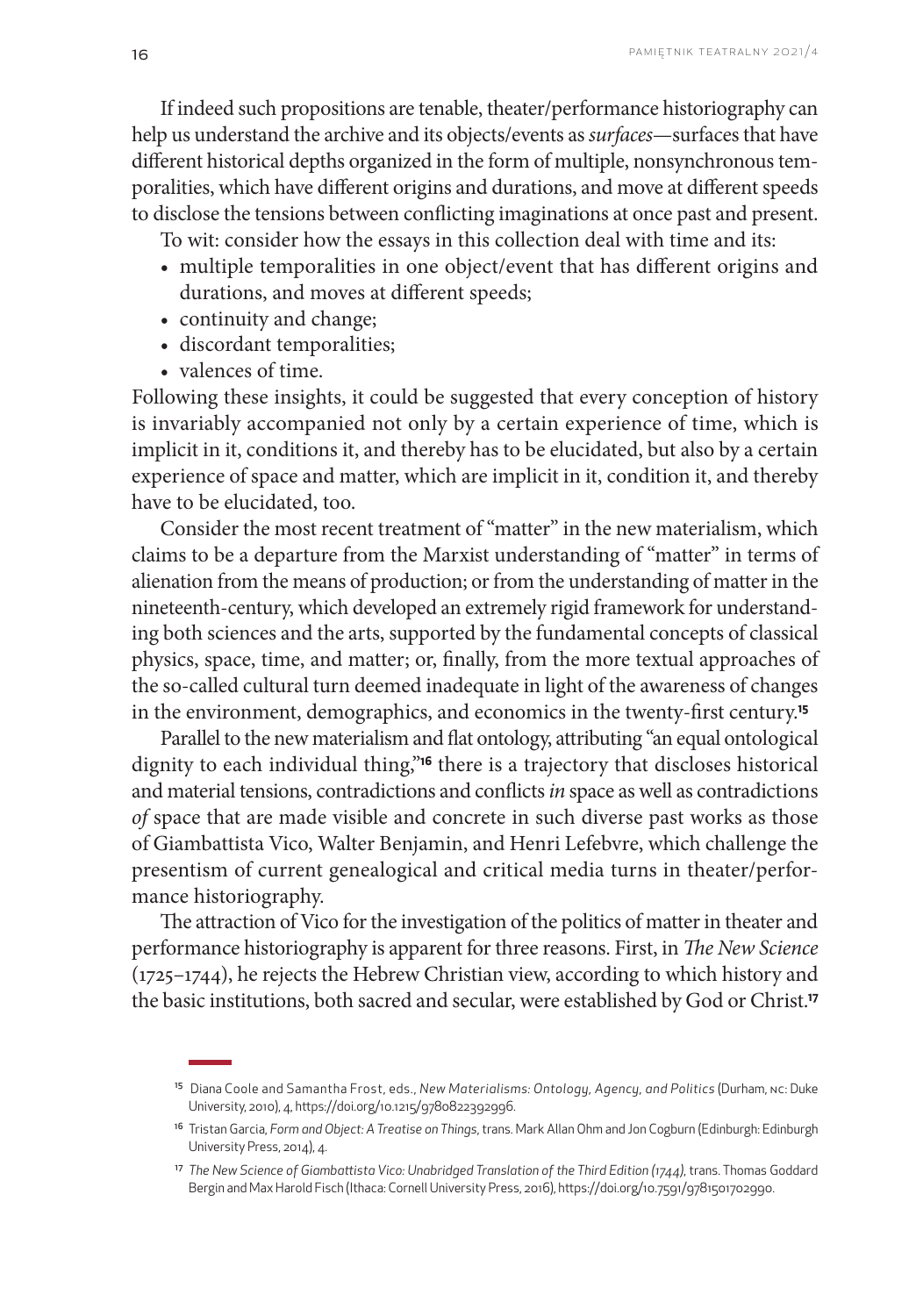If indeed such propositions are tenable, theater/performance historiography can help us understand the archive and its objects/events as *surfaces*—surfaces that have different historical depths organized in the form of multiple, nonsynchronous temporalities, which have different origins and durations, and move at different speeds to disclose the tensions between conflicting imaginations at once past and present.

To wit: consider how the essays in this collection deal with time and its:

- multiple temporalities in one object/event that has different origins and durations, and moves at different speeds;
- continuity and change;
- discordant temporalities;
- valences of time.

Following these insights, it could be suggested that every conception of history is invariably accompanied not only by a certain experience of time, which is implicit in it, conditions it, and thereby has to be elucidated, but also by a certain experience of space and matter, which are implicit in it, condition it, and thereby have to be elucidated, too.

Consider the most recent treatment of "matter" in the new materialism, which claims to be a departure from the Marxist understanding of "matter" in terms of alienation from the means of production; or from the understanding of matter in the nineteenth-century, which developed an extremely rigid framework for understanding both sciences and the arts, supported by the fundamental concepts of classical physics, space, time, and matter; or, finally, from the more textual approaches of the so-called cultural turn deemed inadequate in light of the awareness of changes in the environment, demographics, and economics in the twenty-first century.**<sup>15</sup>**

Parallel to the new materialism and flat ontology, attributing "an equal ontological dignity to each individual thing,"**16** there is a trajectory that discloses historical and material tensions, contradictions and conflicts *in* space as well as contradictions *of* space that are made visible and concrete in such diverse past works as those of Giambattista Vico, Walter Benjamin, and Henri Lefebvre, which challenge the presentism of current genealogical and critical media turns in theater/performance historiography.

The attraction of Vico for the investigation of the politics of matter in theater and performance historiography is apparent for three reasons. First, in *The New Science* (1725–1744), he rejects the Hebrew Christian view, according to which history and the basic institutions, both sacred and secular, were established by God or Christ.**<sup>17</sup>**

<sup>15</sup> Diana Coole and Samantha Frost, eds., *New Materialisms: Ontology, Agency, and Politics* (Durham, NC: Duke University, 2010), 4,<https://doi.org/10.1215/9780822392996>.

<sup>16</sup> Tristan Garcia, *Form and Object: A Treatise on Things*, trans. Mark Allan Ohm and Jon Cogburn (Edinburgh: Edinburgh University Press, 2014), 4.

<sup>17</sup> *The New Science of Giambattista Vico: Unabridged Translation of the Third Edition (1744)*, trans. Thomas Goddard Bergin and Max Harold Fisch (Ithaca: Cornell University Press, 2016), [https://doi.org/10.7591/9781501702990.](https://doi.org/10.7591/9781501702990)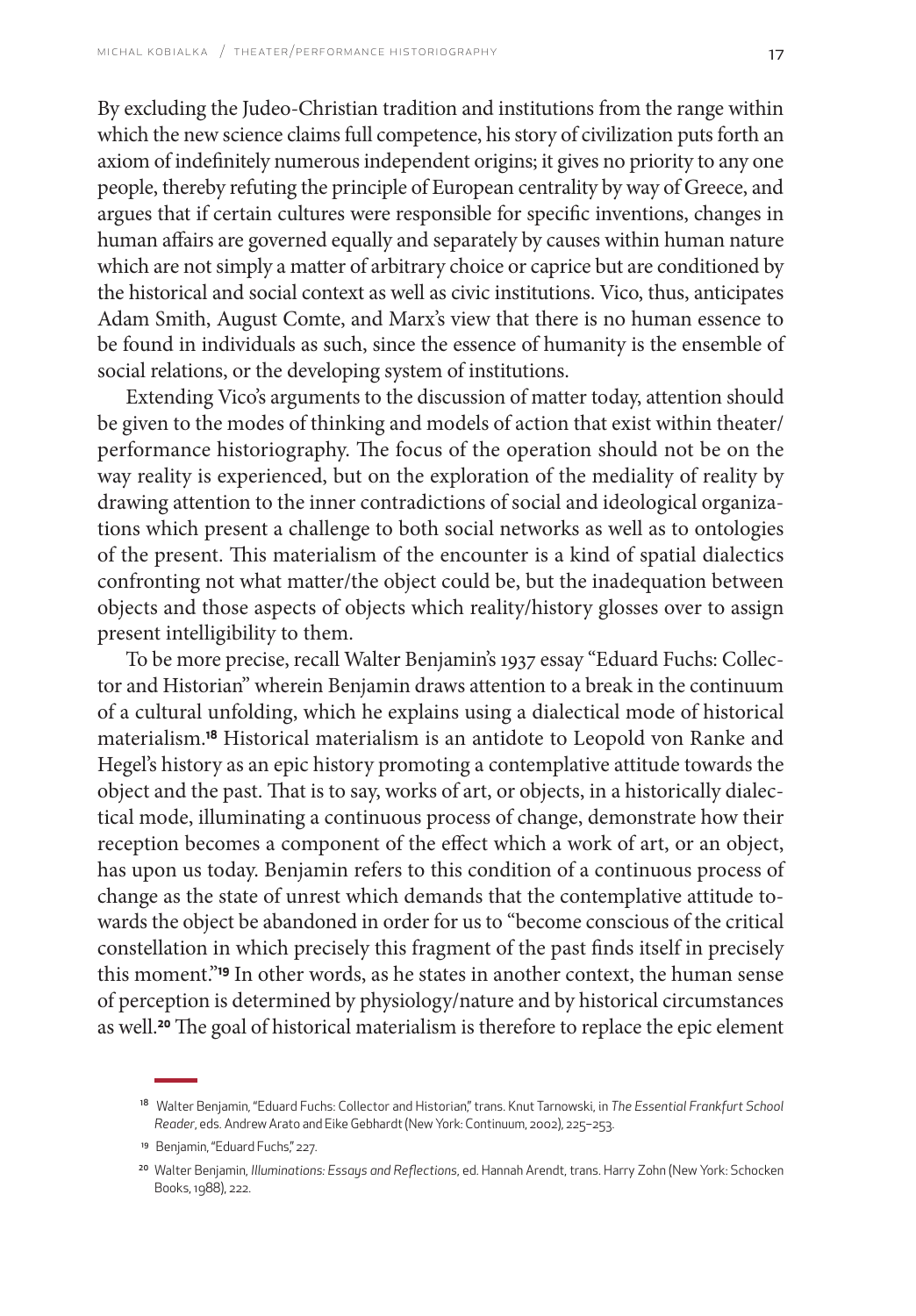By excluding the Judeo-Christian tradition and institutions from the range within which the new science claims full competence, his story of civilization puts forth an axiom of indefinitely numerous independent origins; it gives no priority to any one people, thereby refuting the principle of European centrality by way of Greece, and argues that if certain cultures were responsible for specific inventions, changes in human affairs are governed equally and separately by causes within human nature which are not simply a matter of arbitrary choice or caprice but are conditioned by the historical and social context as well as civic institutions. Vico, thus, anticipates Adam Smith, August Comte, and Marx's view that there is no human essence to be found in individuals as such, since the essence of humanity is the ensemble of social relations, or the developing system of institutions.

Extending Vico's arguments to the discussion of matter today, attention should be given to the modes of thinking and models of action that exist within theater/ performance historiography. The focus of the operation should not be on the way reality is experienced, but on the exploration of the mediality of reality by drawing attention to the inner contradictions of social and ideological organizations which present a challenge to both social networks as well as to ontologies of the present. This materialism of the encounter is a kind of spatial dialectics confronting not what matter/the object could be, but the inadequation between objects and those aspects of objects which reality/history glosses over to assign present intelligibility to them.

To be more precise, recall Walter Benjamin's 1937 essay "Eduard Fuchs: Collector and Historian" wherein Benjamin draws attention to a break in the continuum of a cultural unfolding, which he explains using a dialectical mode of historical materialism.**18** Historical materialism is an antidote to Leopold von Ranke and Hegel's history as an epic history promoting a contemplative attitude towards the object and the past. That is to say, works of art, or objects, in a historically dialectical mode, illuminating a continuous process of change, demonstrate how their reception becomes a component of the effect which a work of art, or an object, has upon us today. Benjamin refers to this condition of a continuous process of change as the state of unrest which demands that the contemplative attitude towards the object be abandoned in order for us to "become conscious of the critical constellation in which precisely this fragment of the past finds itself in precisely this moment."**19** In other words, as he states in another context, the human sense of perception is determined by physiology/nature and by historical circumstances as well.**20** The goal of historical materialism is therefore to replace the epic element

<sup>18</sup> Walter Benjamin, "Eduard Fuchs: Collector and Historian," trans. Knut Tarnowski, in *The Essential Frankfurt School Reader*, eds. Andrew Arato and Eike Gebhardt (New York: Continuum, 2002), 225–253.

<sup>19</sup> Benjamin, "Eduard Fuchs," 227.

<sup>20</sup> Walter Benjamin, *Illuminations: Essays and Reflections*, ed. Hannah Arendt, trans. Harry Zohn (New York: Schocken Books, 1988), 222.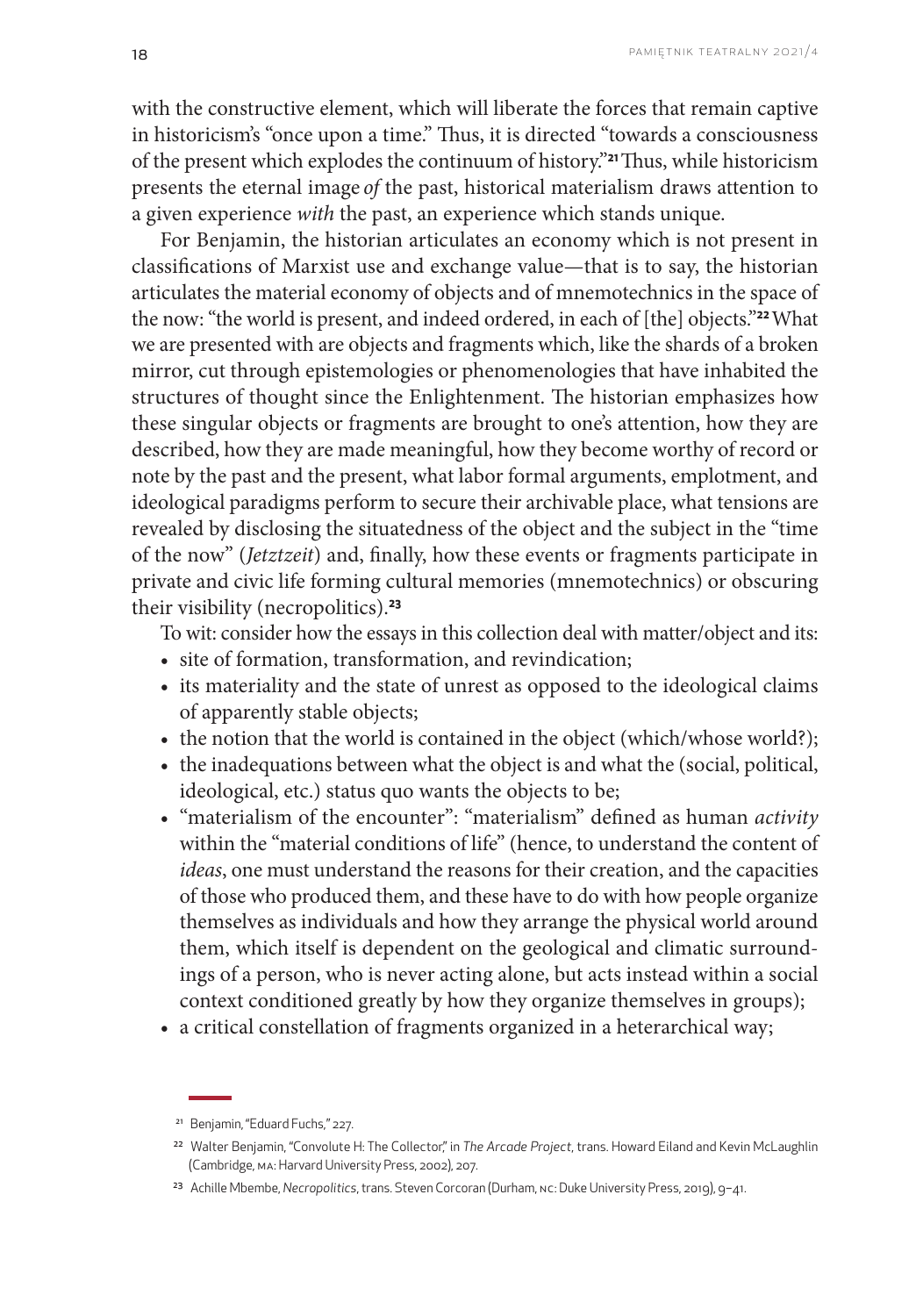with the constructive element, which will liberate the forces that remain captive in historicism's "once upon a time." Thus, it is directed "towards a consciousness of the present which explodes the continuum of history."**21**Thus, while historicism presents the eternal image *of* the past, historical materialism draws attention to a given experience *with* the past, an experience which stands unique.

For Benjamin, the historian articulates an economy which is not present in classifications of Marxist use and exchange value—that is to say, the historian articulates the material economy of objects and of mnemotechnics in the space of the now: "the world is present, and indeed ordered, in each of [the] objects."**22**What we are presented with are objects and fragments which, like the shards of a broken mirror, cut through epistemologies or phenomenologies that have inhabited the structures of thought since the Enlightenment. The historian emphasizes how these singular objects or fragments are brought to one's attention, how they are described, how they are made meaningful, how they become worthy of record or note by the past and the present, what labor formal arguments, emplotment, and ideological paradigms perform to secure their archivable place, what tensions are revealed by disclosing the situatedness of the object and the subject in the "time of the now" (*Jetztzeit*) and, finally, how these events or fragments participate in private and civic life forming cultural memories (mnemotechnics) or obscuring their visibility (necropolitics).**<sup>23</sup>**

To wit: consider how the essays in this collection deal with matter/object and its:

- site of formation, transformation, and revindication;
- its materiality and the state of unrest as opposed to the ideological claims of apparently stable objects;
- the notion that the world is contained in the object (which/whose world?);
- the inadequations between what the object is and what the (social, political, ideological, etc.) status quo wants the objects to be;
- "materialism of the encounter": "materialism" defined as human *activity*  within the "material conditions of life" (hence, to understand the content of *ideas*, one must understand the reasons for their creation, and the capacities of those who produced them, and these have to do with how people organize themselves as individuals and how they arrange the physical world around them, which itself is dependent on the geological and climatic surroundings of a person, who is never acting alone, but acts instead within a social context conditioned greatly by how they organize themselves in groups);
- a critical constellation of fragments organized in a heterarchical way;

<sup>21</sup> Benjamin, "Eduard Fuchs," 227.

<sup>22</sup> Walter Benjamin, "Convolute H: The Collector," in *The Arcade Project*, trans. Howard Eiland and Kevin McLaughlin (Cambridge, MA: Harvard University Press, 2002), 207.

<sup>23</sup> Achille Mbembe, *Necropolitics*, trans. Steven Corcoran (Durham, NC: Duke University Press, 2019), 9–41.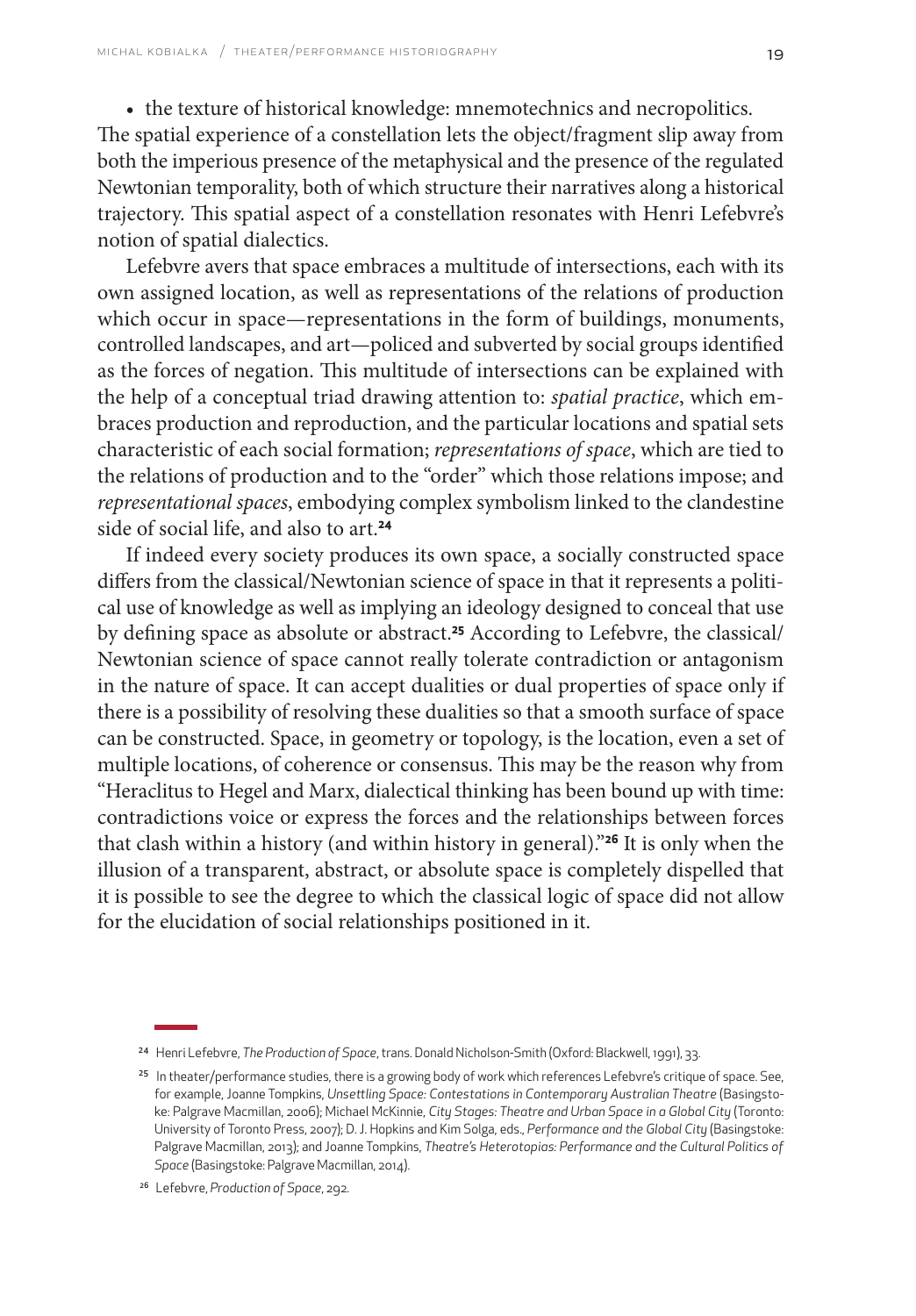• the texture of historical knowledge: mnemotechnics and necropolitics. The spatial experience of a constellation lets the object/fragment slip away from both the imperious presence of the metaphysical and the presence of the regulated Newtonian temporality, both of which structure their narratives along a historical trajectory. This spatial aspect of a constellation resonates with Henri Lefebvre's notion of spatial dialectics.

Lefebvre avers that space embraces a multitude of intersections, each with its own assigned location, as well as representations of the relations of production which occur in space—representations in the form of buildings, monuments, controlled landscapes, and art—policed and subverted by social groups identified as the forces of negation. This multitude of intersections can be explained with the help of a conceptual triad drawing attention to: *spatial practice*, which embraces production and reproduction, and the particular locations and spatial sets characteristic of each social formation; *representations of space*, which are tied to the relations of production and to the "order" which those relations impose; and *representational spaces*, embodying complex symbolism linked to the clandestine side of social life, and also to art.**<sup>24</sup>**

If indeed every society produces its own space, a socially constructed space differs from the classical/Newtonian science of space in that it represents a political use of knowledge as well as implying an ideology designed to conceal that use by defining space as absolute or abstract.**25** According to Lefebvre, the classical/ Newtonian science of space cannot really tolerate contradiction or antagonism in the nature of space. It can accept dualities or dual properties of space only if there is a possibility of resolving these dualities so that a smooth surface of space can be constructed. Space, in geometry or topology, is the location, even a set of multiple locations, of coherence or consensus. This may be the reason why from "Heraclitus to Hegel and Marx, dialectical thinking has been bound up with time: contradictions voice or express the forces and the relationships between forces that clash within a history (and within history in general)."**26** It is only when the illusion of a transparent, abstract, or absolute space is completely dispelled that it is possible to see the degree to which the classical logic of space did not allow for the elucidation of social relationships positioned in it.

<sup>24</sup> Henri Lefebvre, *The Production of Space*, trans. Donald Nicholson-Smith (Oxford: Blackwell, 1991), 33.

<sup>&</sup>lt;sup>25</sup> In theater/performance studies, there is a growing body of work which references Lefebvre's critique of space. See, for example, Joanne Tompkins, *Unsettling Space: Contestations in Contemporary Australian Theatre* (Basingstoke: Palgrave Macmillan, 2006); Michael McKinnie, *City Stages: Theatre and Urban Space in a Global City* (Toronto: University of Toronto Press, 2007); D. J. Hopkins and Kim Solga, eds., *Performance and the Global City* (Basingstoke: Palgrave Macmillan, 2013); and Joanne Tompkins, *Theatre's Heterotopias: Performance and the Cultural Politics of Space* (Basingstoke: Palgrave Macmillan, 2014).

<sup>26</sup> Lefebvre, *Production of Space*, 292.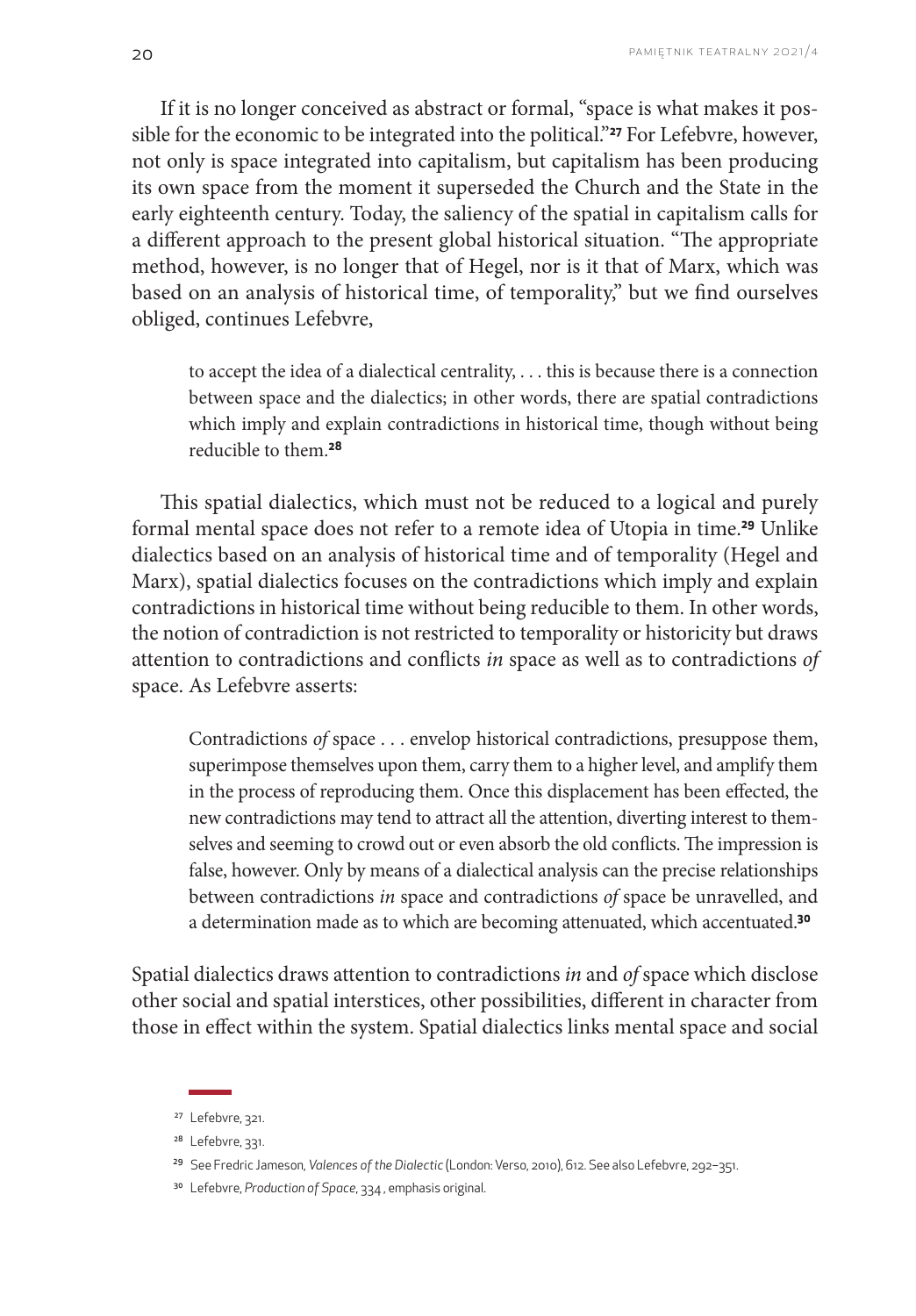If it is no longer conceived as abstract or formal, "space is what makes it possible for the economic to be integrated into the political."**27** For Lefebvre, however, not only is space integrated into capitalism, but capitalism has been producing its own space from the moment it superseded the Church and the State in the early eighteenth century. Today, the saliency of the spatial in capitalism calls for a different approach to the present global historical situation. "The appropriate method, however, is no longer that of Hegel, nor is it that of Marx, which was based on an analysis of historical time, of temporality," but we find ourselves obliged, continues Lefebvre,

to accept the idea of a dialectical centrality, . . . this is because there is a connection between space and the dialectics; in other words, there are spatial contradictions which imply and explain contradictions in historical time, though without being reducible to them.**<sup>28</sup>**

This spatial dialectics, which must not be reduced to a logical and purely formal mental space does not refer to a remote idea of Utopia in time.**29** Unlike dialectics based on an analysis of historical time and of temporality (Hegel and Marx), spatial dialectics focuses on the contradictions which imply and explain contradictions in historical time without being reducible to them. In other words, the notion of contradiction is not restricted to temporality or historicity but draws attention to contradictions and conflicts *in* space as well as to contradictions *of* space. As Lefebvre asserts:

Contradictions *of* space . . . envelop historical contradictions, presuppose them, superimpose themselves upon them, carry them to a higher level, and amplify them in the process of reproducing them. Once this displacement has been effected, the new contradictions may tend to attract all the attention, diverting interest to themselves and seeming to crowd out or even absorb the old conflicts. The impression is false, however. Only by means of a dialectical analysis can the precise relationships between contradictions *in* space and contradictions *of* space be unravelled, and a determination made as to which are becoming attenuated, which accentuated.**<sup>30</sup>**

Spatial dialectics draws attention to contradictions *in* and *of* space which disclose other social and spatial interstices, other possibilities, different in character from those in effect within the system. Spatial dialectics links mental space and social

<sup>27</sup> Lefebvre, 321.

<sup>&</sup>lt;sup>28</sup> Lefebvre, 331.

<sup>29</sup> See Fredric Jameson, *Valences of the Dialectic* (London: Verso, 2010), 612. See also Lefebvre, 292–351.

<sup>30</sup> Lefebvre, *Production of Space*, 334 , emphasis original.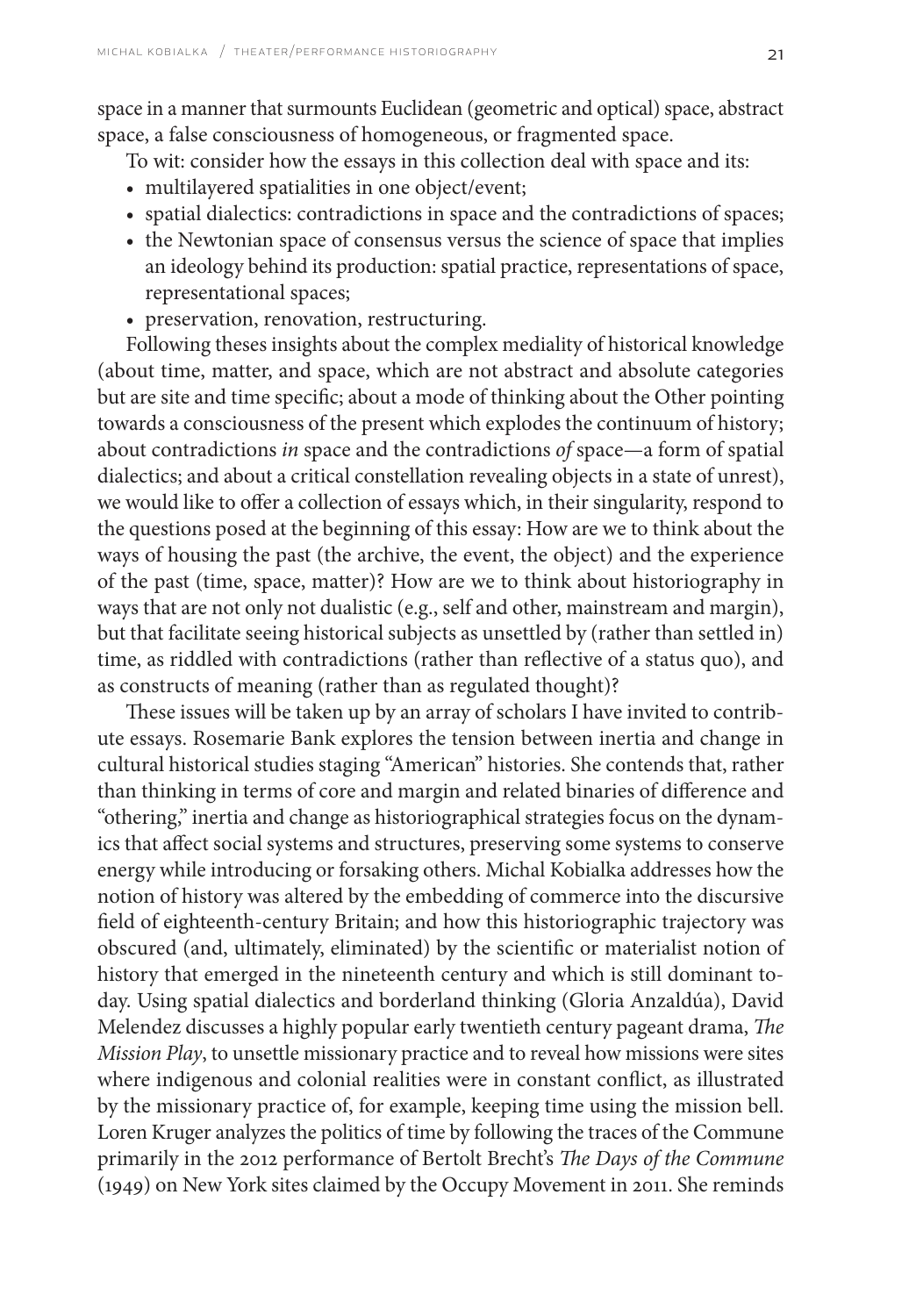space in a manner that surmounts Euclidean (geometric and optical) space, abstract space, a false consciousness of homogeneous, or fragmented space.

To wit: consider how the essays in this collection deal with space and its:

- multilayered spatialities in one object/event;
- spatial dialectics: contradictions in space and the contradictions of spaces;
- the Newtonian space of consensus versus the science of space that implies an ideology behind its production: spatial practice, representations of space, representational spaces;
- preservation, renovation, restructuring.

Following theses insights about the complex mediality of historical knowledge (about time, matter, and space, which are not abstract and absolute categories but are site and time specific; about a mode of thinking about the Other pointing towards a consciousness of the present which explodes the continuum of history; about contradictions *in* space and the contradictions *of* space—a form of spatial dialectics; and about a critical constellation revealing objects in a state of unrest), we would like to offer a collection of essays which, in their singularity, respond to the questions posed at the beginning of this essay: How are we to think about the ways of housing the past (the archive, the event, the object) and the experience of the past (time, space, matter)? How are we to think about historiography in ways that are not only not dualistic (e.g., self and other, mainstream and margin), but that facilitate seeing historical subjects as unsettled by (rather than settled in) time, as riddled with contradictions (rather than reflective of a status quo), and as constructs of meaning (rather than as regulated thought)?

These issues will be taken up by an array of scholars I have invited to contribute essays. Rosemarie Bank explores the tension between inertia and change in cultural historical studies staging "American" histories. She contends that, rather than thinking in terms of core and margin and related binaries of difference and "othering," inertia and change as historiographical strategies focus on the dynamics that affect social systems and structures, preserving some systems to conserve energy while introducing or forsaking others. Michal Kobialka addresses how the notion of history was altered by the embedding of commerce into the discursive field of eighteenth-century Britain; and how this historiographic trajectory was obscured (and, ultimately, eliminated) by the scientific or materialist notion of history that emerged in the nineteenth century and which is still dominant today. Using spatial dialectics and borderland thinking (Gloria Anzaldúa), David Melendez discusses a highly popular early twentieth century pageant drama, *The Mission Play*, to unsettle missionary practice and to reveal how missions were sites where indigenous and colonial realities were in constant conflict, as illustrated by the missionary practice of, for example, keeping time using the mission bell. Loren Kruger analyzes the politics of time by following the traces of the Commune primarily in the 2012 performance of Bertolt Brecht's *The Days of the Commune* (1949) on New York sites claimed by the Occupy Movement in 2011. She reminds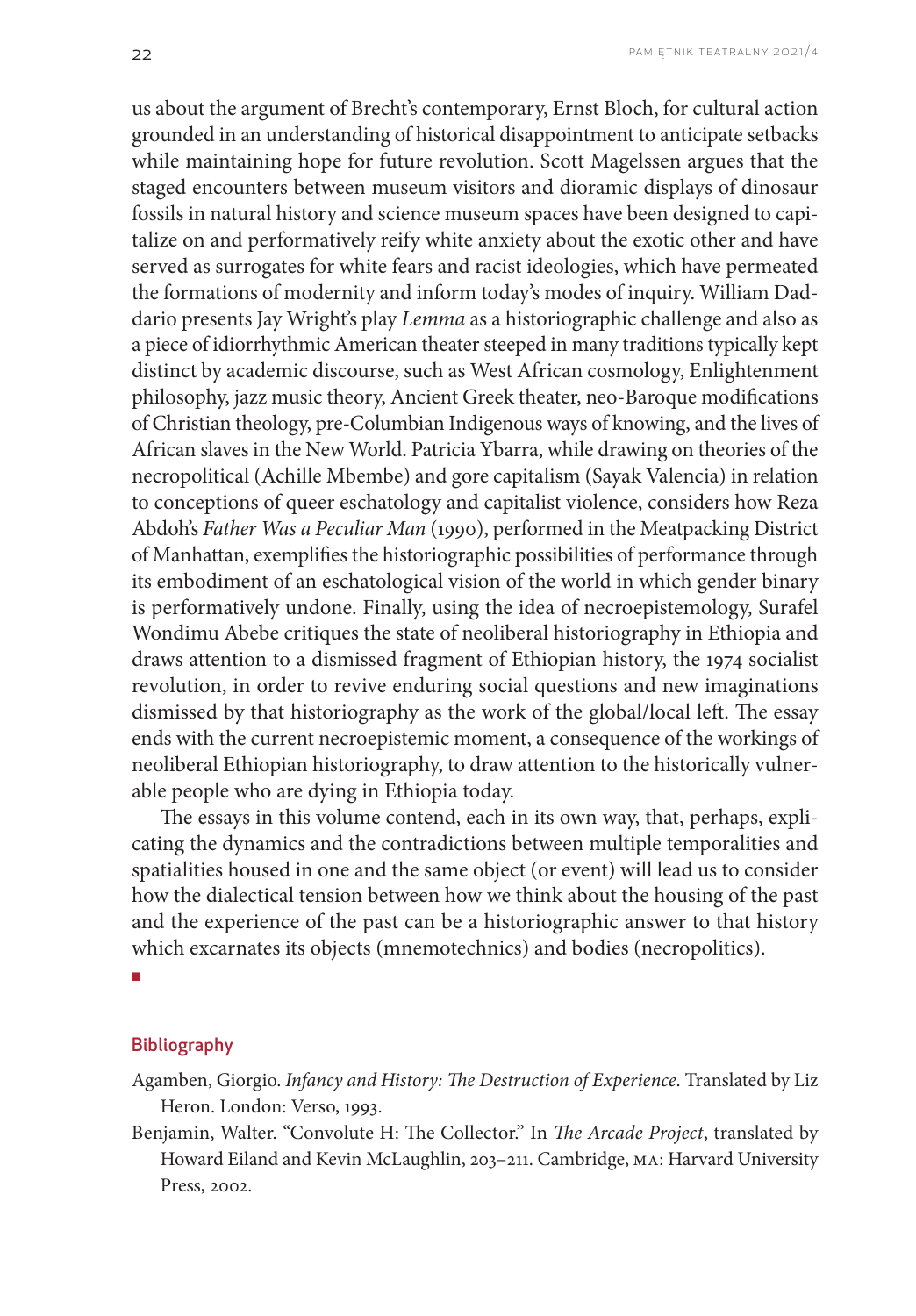us about the argument of Brecht's contemporary, Ernst Bloch, for cultural action grounded in an understanding of historical disappointment to anticipate setbacks while maintaining hope for future revolution. Scott Magelssen argues that the staged encounters between museum visitors and dioramic displays of dinosaur fossils in natural history and science museum spaces have been designed to capitalize on and performatively reify white anxiety about the exotic other and have served as surrogates for white fears and racist ideologies, which have permeated the formations of modernity and inform today's modes of inquiry. William Daddario presents Jay Wright's play *Lemma* as a historiographic challenge and also as a piece of idiorrhythmic American theater steeped in many traditions typically kept distinct by academic discourse, such as West African cosmology, Enlightenment philosophy, jazz music theory, Ancient Greek theater, neo-Baroque modifications of Christian theology, pre-Columbian Indigenous ways of knowing, and the lives of African slaves in the New World. Patricia Ybarra, while drawing on theories of the necropolitical (Achille Mbembe) and gore capitalism (Sayak Valencia) in relation to conceptions of queer eschatology and capitalist violence, considers how Reza Abdoh's *Father Was a Peculiar Man* (1990), performed in the Meatpacking District of Manhattan, exemplifies the historiographic possibilities of performance through its embodiment of an eschatological vision of the world in which gender binary is performatively undone. Finally, using the idea of necroepistemology, Surafel Wondimu Abebe critiques the state of neoliberal historiography in Ethiopia and draws attention to a dismissed fragment of Ethiopian history, the 1974 socialist revolution, in order to revive enduring social questions and new imaginations dismissed by that historiography as the work of the global/local left. The essay ends with the current necroepistemic moment, a consequence of the workings of neoliberal Ethiopian historiography, to draw attention to the historically vulnerable people who are dying in Ethiopia today.

The essays in this volume contend, each in its own way, that, perhaps, explicating the dynamics and the contradictions between multiple temporalities and spatialities housed in one and the same object (or event) will lead us to consider how the dialectical tension between how we think about the housing of the past and the experience of the past can be a historiographic answer to that history which excarnates its objects (mnemotechnics) and bodies (necropolitics).

■

# **Bibliography**

- Agamben, Giorgio. *Infancy and History: The Destruction of Experience*. Translated by Liz Heron. London: Verso, 1993.
- Benjamin, Walter. "Convolute H: The Collector." In *The Arcade Project*, translated by Howard Eiland and Kevin McLaughlin, 203–211. Cambridge, MA: Harvard University Press, 2002.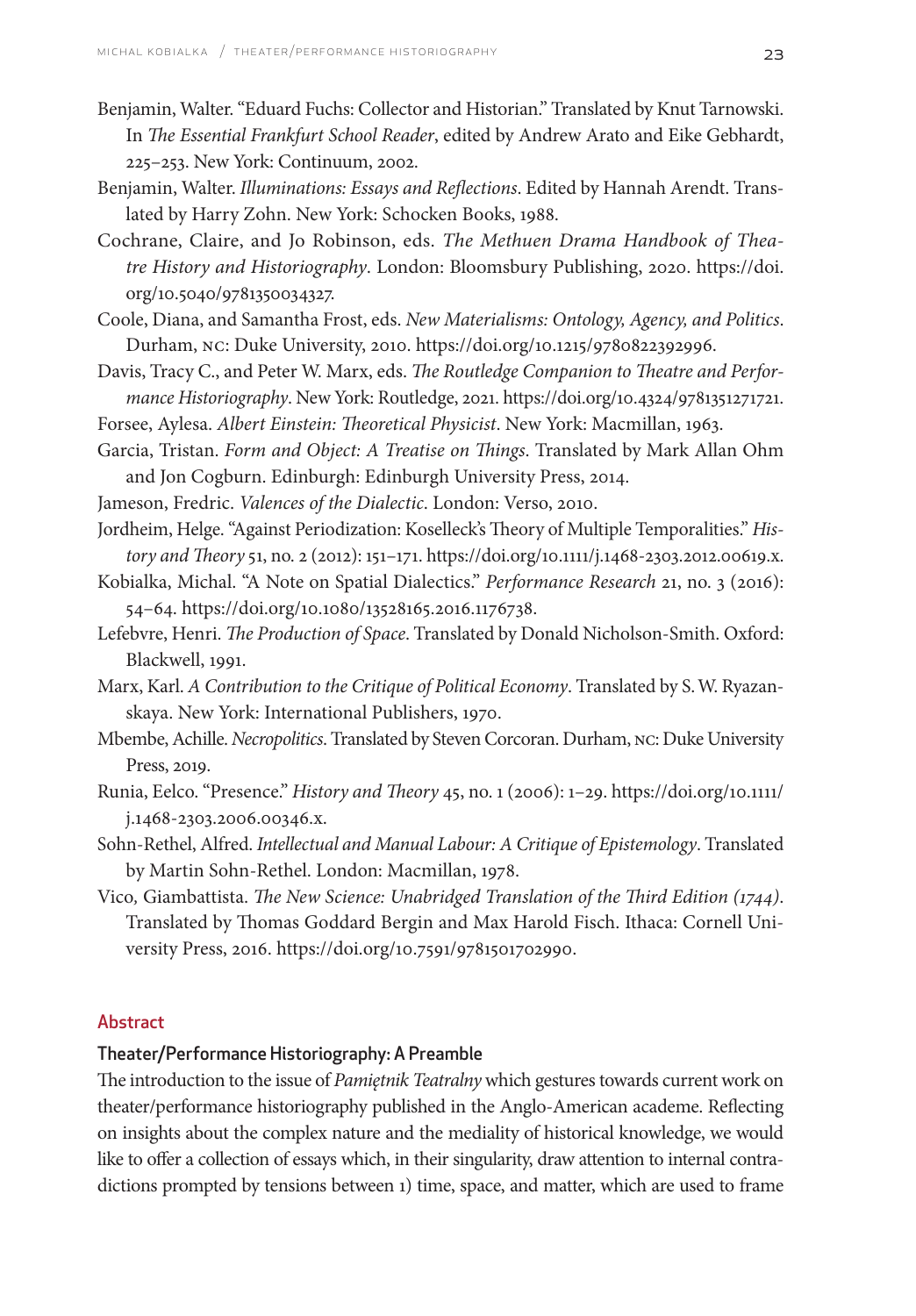- Benjamin, Walter. "Eduard Fuchs: Collector and Historian." Translated by Knut Tarnowski. In *The Essential Frankfurt School Reader*, edited by Andrew Arato and Eike Gebhardt, 225–253. New York: Continuum, 2002.
- Benjamin, Walter. *Illuminations: Essays and Reflections*. Edited by Hannah Arendt. Translated by Harry Zohn. New York: Schocken Books, 1988.
- Cochrane, Claire, and Jo Robinson, eds. *The Methuen Drama Handbook of Theatre History and Historiography*. London: Bloomsbury Publishing, 2020. [https://doi.](http://dx.doi.org/10.5040/9781350034327) [org/10.5040/9781350034327.](http://dx.doi.org/10.5040/9781350034327)
- Coole, Diana, and Samantha Frost, eds. *New Materialisms: Ontology, Agency, and Politics*. Durham, NC: Duke University, 2010. [https://doi.org/10.1215/9780822392996.](https://doi.org/10.1215/9780822392996)
- Davis, Tracy C., and Peter W. Marx, eds. *The Routledge Companion to Theatre and Performance Historiography*. New York: Routledge, 2021.<https://doi.org/10.4324/9781351271721>.
- Forsee, Aylesa. *Albert Einstein: Theoretical Physicist*. New York: Macmillan, 1963.
- Garcia, Tristan. *Form and Object: A Treatise on Things*. Translated by Mark Allan Ohm and Jon Cogburn. Edinburgh: Edinburgh University Press, 2014.
- Jameson, Fredric. *Valences of the Dialectic*. London: Verso, 2010.
- Jordheim, Helge. "Against Periodization: Koselleck's Theory of Multiple Temporalities." *History and Theory* 51, no. 2 (2012): 151–171.<https://doi.org/10.1111/j.1468-2303.2012.00619.x>.
- Kobialka, Michal. "A Note on Spatial Dialectics." *Performance Research* 21, no. 3 (2016): 54–64. https://doi.org/10.1080/13528165.2016.1176738.
- Lefebvre, Henri. *The Production of Space*. Translated by Donald Nicholson-Smith. Oxford: Blackwell, 1991.
- Marx, Karl. *A Contribution to the Critique of Political Economy*. Translated by S. W. Ryazanskaya. New York: International Publishers, 1970.
- Mbembe, Achille. *Necropolitics*. Translated by Steven Corcoran. Durham, NC: Duke University Press, 2019.
- Runia, Eelco. "Presence." *History and Theory* 45, no. 1 (2006): 1–29. [https://doi.org/10.1111/](https://doi.org/10.1111/j.1468-2303.2006.00346.x) [j.1468-2303.2006.00346.x.](https://doi.org/10.1111/j.1468-2303.2006.00346.x)
- Sohn-Rethel, Alfred. *Intellectual and Manual Labour: A Critique of Epistemology*. Translated by Martin Sohn-Rethel. London: Macmillan, 1978.
- Vico*,* Giambattista. *The New Science: Unabridged Translation of the Third Edition (1744)*. Translated by Thomas Goddard Bergin and Max Harold Fisch. Ithaca: Cornell University Press, 2016. [https://doi.org/10.7591/9781501702990.](https://doi.org/10.7591/9781501702990)

#### Abstract

### Theater/Performance Historiography: A Preamble

The introduction to the issue of *Pamiętnik Teatralny* which gestures towards current work on theater/performance historiography published in the Anglo-American academe. Reflecting on insights about the complex nature and the mediality of historical knowledge, we would like to offer a collection of essays which, in their singularity, draw attention to internal contradictions prompted by tensions between 1) time, space, and matter, which are used to frame